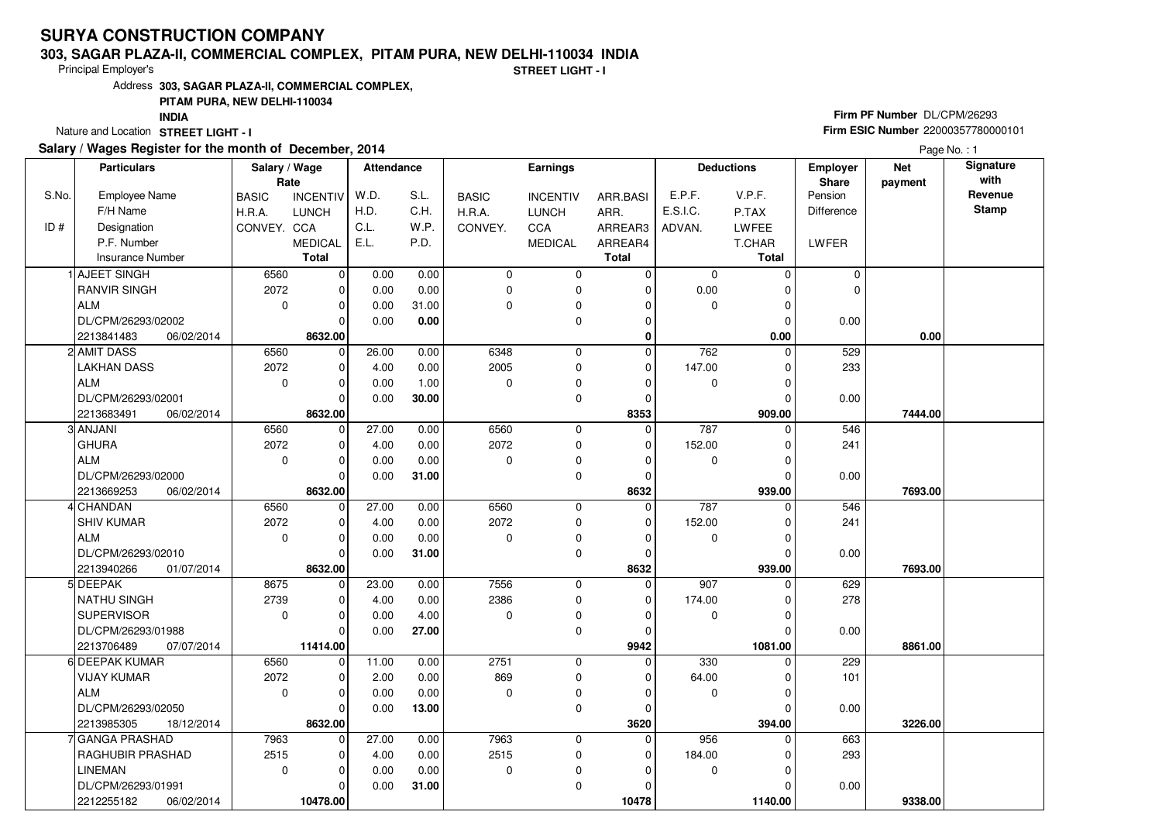#### **303, SAGAR PLAZA-II, COMMERCIAL COMPLEX, PITAM PURA, NEW DELHI-110034 INDIA**

Principal Employer's

**STREET LIGHT - I**

Address**303, SAGAR PLAZA-II, COMMERCIAL COMPLEX,**

## **PITAM PURA, NEW DELHI-110034**

**INDIA**

Nature and Location STREET LIGHT - I

## **Salary / Wages Register for the month of December, 2014**

# **Firm PF Number** DL/CPM/26293 **Firm ESIC Number** <sup>22000357780000101</sup>

Page No. : 1

|       | <b>Particulars</b>       | Salary / Wage<br>Rate |                 | Attendance |       |              | <b>Earnings</b> |              | <b>Deductions</b> |              | Employer<br><b>Share</b> | <b>Net</b><br>payment | Signature<br>with |
|-------|--------------------------|-----------------------|-----------------|------------|-------|--------------|-----------------|--------------|-------------------|--------------|--------------------------|-----------------------|-------------------|
| S.No. | <b>Employee Name</b>     | <b>BASIC</b>          | <b>INCENTIV</b> | W.D.       | S.L.  | <b>BASIC</b> | <b>INCENTIV</b> | ARR.BASI     | E.P.F.            | V.P.F.       | Pension                  |                       | Revenue           |
|       | F/H Name                 | H.R.A.                | <b>LUNCH</b>    | H.D.       | C.H.  | H.R.A.       | <b>LUNCH</b>    | ARR.         | E.S.I.C.          | P.TAX        | Difference               |                       | <b>Stamp</b>      |
| ID#   | Designation              | CONVEY. CCA           |                 | C.L.       | W.P.  | CONVEY.      | <b>CCA</b>      | ARREAR3      | ADVAN.            | <b>LWFEE</b> |                          |                       |                   |
|       | P.F. Number              |                       | <b>MEDICAL</b>  | E.L.       | P.D.  |              | <b>MEDICAL</b>  | ARREAR4      |                   | T.CHAR       | LWFER                    |                       |                   |
|       | <b>Insurance Number</b>  |                       | <b>Total</b>    |            |       |              |                 | <b>Total</b> |                   | Total        |                          |                       |                   |
|       | AJEET SINGH              | 6560                  | $\mathbf 0$     | 0.00       | 0.00  | $\mathbf 0$  | 0               | 0            | 0                 | $\Omega$     | 0                        |                       |                   |
|       | <b>RANVIR SINGH</b>      | 2072                  | $\mathbf 0$     | 0.00       | 0.00  | $\mathbf 0$  | 0               | $\mathbf 0$  | 0.00              | $\Omega$     | 0                        |                       |                   |
|       | <b>ALM</b>               | $\mathbf 0$           | 0               | 0.00       | 31.00 | $\Omega$     | 0               | $\Omega$     | 0                 | 0            |                          |                       |                   |
|       | DL/CPM/26293/02002       |                       | $\Omega$        | 0.00       | 0.00  |              | 0               | 0            |                   | $\Omega$     | 0.00                     |                       |                   |
|       | 2213841483<br>06/02/2014 |                       | 8632.00         |            |       |              |                 | $\mathbf{0}$ |                   | 0.00         |                          | 0.00                  |                   |
|       | 2 AMIT DASS              | 6560                  | $\mathbf 0$     | 26.00      | 0.00  | 6348         | 0               | 0            | 762               | $\Omega$     | 529                      |                       |                   |
|       | <b>LAKHAN DASS</b>       | 2072                  | $\mathbf 0$     | 4.00       | 0.00  | 2005         | $\mathbf 0$     | $\mathbf 0$  | 147.00            | 0            | 233                      |                       |                   |
|       | <b>ALM</b>               | 0                     | $\Omega$        | 0.00       | 1.00  | $\Omega$     | 0               | 0            | 0                 | O            |                          |                       |                   |
|       | DL/CPM/26293/02001       |                       | $\Omega$        | 0.00       | 30.00 |              | 0               | $\mathbf 0$  |                   | $\Omega$     | 0.00                     |                       |                   |
|       | 2213683491<br>06/02/2014 |                       | 8632.00         |            |       |              |                 | 8353         |                   | 909.00       |                          | 7444.00               |                   |
|       | 3 ANJANI                 | 6560                  | $\mathbf 0$     | 27.00      | 0.00  | 6560         | 0               | $\mathbf 0$  | 787               | 0            | 546                      |                       |                   |
|       | <b>GHURA</b>             | 2072                  | $\mathbf 0$     | 4.00       | 0.00  | 2072         | 0               | $\mathbf 0$  | 152.00            | O            | 241                      |                       |                   |
|       | <b>ALM</b>               | $\mathbf 0$           | $\Omega$        | 0.00       | 0.00  | 0            | 0               | 0            | 0                 | 0            |                          |                       |                   |
|       | DL/CPM/26293/02000       |                       | $\Omega$        | 0.00       | 31.00 |              | $\mathbf 0$     | $\mathbf 0$  |                   |              | 0.00                     |                       |                   |
|       | 2213669253<br>06/02/2014 |                       | 8632.00         |            |       |              |                 | 8632         |                   | 939.00       |                          | 7693.00               |                   |
|       | CHANDAN                  | 6560                  | $\mathbf 0$     | 27.00      | 0.00  | 6560         | 0               | 0            | 787               | $\Omega$     | 546                      |                       |                   |
|       | <b>SHIV KUMAR</b>        | 2072                  | $\Omega$        | 4.00       | 0.00  | 2072         | $\mathbf 0$     | $\Omega$     | 152.00            |              | 241                      |                       |                   |
|       | <b>ALM</b>               | $\mathbf 0$           | $\Omega$        | 0.00       | 0.00  | $\Omega$     | 0               | 0            | 0                 | 0            |                          |                       |                   |
|       | DL/CPM/26293/02010       |                       | $\Omega$        | 0.00       | 31.00 |              | $\mathbf 0$     | $\Omega$     |                   |              | 0.00                     |                       |                   |
|       | 2213940266<br>01/07/2014 |                       | 8632.00         |            |       |              |                 | 8632         |                   | 939.00       |                          | 7693.00               |                   |
|       | 5 DEEPAK                 | 8675                  | $\mathbf 0$     | 23.00      | 0.00  | 7556         | $\mathbf 0$     | 0            | 907               |              | 629                      |                       |                   |
|       | NATHU SINGH              | 2739                  | $\Omega$        | 4.00       | 0.00  | 2386         | 0               | $\Omega$     | 174.00            | ŋ            | 278                      |                       |                   |
|       | <b>SUPERVISOR</b>        | $\mathbf 0$           | $\Omega$        | 0.00       | 4.00  | $\Omega$     | 0               | $\mathbf 0$  | 0                 | $\Omega$     |                          |                       |                   |
|       | DL/CPM/26293/01988       |                       | $\Omega$        | 0.00       | 27.00 |              | $\mathbf 0$     | $\Omega$     |                   | O            | 0.00                     |                       |                   |
|       | 2213706489<br>07/07/2014 |                       | 11414.00        |            |       |              |                 | 9942         |                   | 1081.00      |                          | 8861.00               |                   |
|       | 6 DEEPAK KUMAR           | 6560                  | $\mathbf 0$     | 11.00      | 0.00  | 2751         | $\mathbf 0$     | $\Omega$     | 330               | $\Omega$     | 229                      |                       |                   |
|       | <b>VIJAY KUMAR</b>       | 2072                  | $\mathbf 0$     | 2.00       | 0.00  | 869          | 0               | $\Omega$     | 64.00             | 0            | 101                      |                       |                   |
|       | <b>ALM</b>               | $\Omega$              | $\Omega$        | 0.00       | 0.00  | $\Omega$     | $\mathbf 0$     | $\Omega$     | $\mathbf 0$       | O            |                          |                       |                   |
|       | DL/CPM/26293/02050       |                       | $\Omega$        | 0.00       | 13.00 |              | 0               | $\Omega$     |                   | 0            | 0.00                     |                       |                   |
|       | 2213985305<br>18/12/2014 |                       | 8632.00         |            |       |              |                 | 3620         |                   | 394.00       |                          | 3226.00               |                   |
|       | GANGA PRASHAD            | 7963                  | $\Omega$        | 27.00      | 0.00  | 7963         | $\mathbf 0$     | $\Omega$     | 956               | $\Omega$     | 663                      |                       |                   |
|       | RAGHUBIR PRASHAD         | 2515                  | 0               | 4.00       | 0.00  | 2515         | 0               | 0            | 184.00            |              | 293                      |                       |                   |
|       | <b>LINEMAN</b>           | $\mathbf 0$           | $\Omega$        | 0.00       | 0.00  | 0            | 0               | $\Omega$     | 0                 | $\Omega$     |                          |                       |                   |
|       | DL/CPM/26293/01991       |                       | 0               | 0.00       | 31.00 |              | $\mathbf 0$     | 0            |                   |              | 0.00                     |                       |                   |
|       | 2212255182<br>06/02/2014 |                       | 10478.00        |            |       |              |                 | 10478        |                   | 1140.00      |                          | 9338.00               |                   |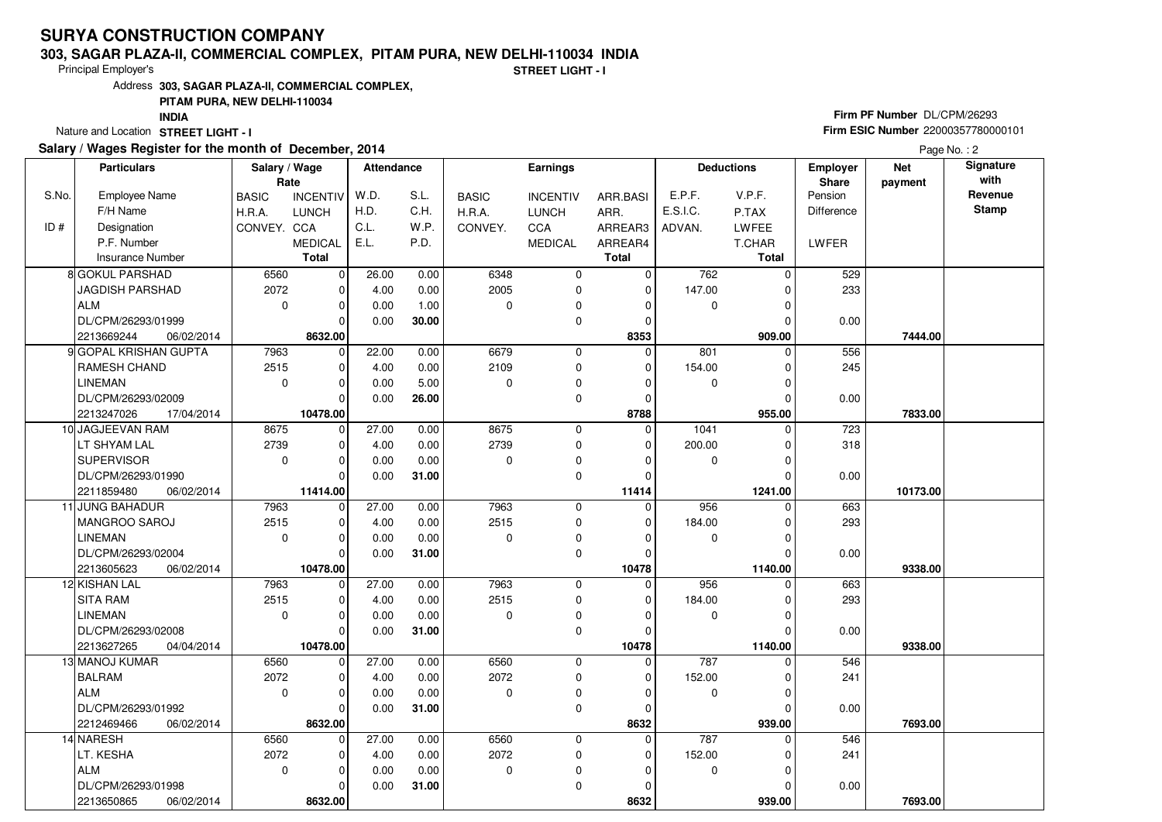#### **303, SAGAR PLAZA-II, COMMERCIAL COMPLEX, PITAM PURA, NEW DELHI-110034 INDIA**

Principal Employer's

**STREET LIGHT - I**

Address**303, SAGAR PLAZA-II, COMMERCIAL COMPLEX,**

## **PITAM PURA, NEW DELHI-110034**

**INDIA**

Nature and Location STREET LIGHT - I

## **Salary / Wages Register for the month of December, 2014**

# **Firm PF Number** DL/CPM/26293 **Firm ESIC Number** <sup>22000357780000101</sup>

Page No.: 2

|       | <b>Particulars</b>       | Salary / Wage<br>Rate |                 | <b>Attendance</b> |       |              | <b>Earnings</b> |             |             | <b>Deductions</b> | Employer<br>Share | <b>Net</b><br>payment |              |
|-------|--------------------------|-----------------------|-----------------|-------------------|-------|--------------|-----------------|-------------|-------------|-------------------|-------------------|-----------------------|--------------|
| S.No. | <b>Employee Name</b>     | <b>BASIC</b>          | <b>INCENTIV</b> | W.D.              | S.L.  | <b>BASIC</b> | <b>INCENTIV</b> | ARR.BASI    | E.P.F.      | V.P.F.            | Pension           |                       | Revenue      |
|       | F/H Name                 | H.R.A.                | <b>LUNCH</b>    | H.D.              | C.H.  | H.R.A.       | <b>LUNCH</b>    | ARR.        | E.S.I.C.    | P.TAX             | <b>Difference</b> |                       | <b>Stamp</b> |
| ID#   | Designation              | CONVEY. CCA           |                 | C.L.              | W.P.  | CONVEY.      | CCA             | ARREAR3     | ADVAN.      | LWFEE             |                   |                       |              |
|       | P.F. Number              |                       | <b>MEDICAL</b>  | E.L.              | P.D.  |              | <b>MEDICAL</b>  | ARREAR4     |             | T.CHAR            | LWFER             |                       |              |
|       | <b>Insurance Number</b>  |                       | <b>Total</b>    |                   |       |              |                 | Total       |             | Total             |                   |                       |              |
|       | 8 GOKUL PARSHAD          | 6560                  | $\mathbf 0$     | 26.00             | 0.00  | 6348         | 0               | $\mathbf 0$ | 762         | 0                 | 529               |                       |              |
|       | <b>JAGDISH PARSHAD</b>   | 2072                  | $\mathbf 0$     | 4.00              | 0.00  | 2005         | 0               | $\mathbf 0$ | 147.00      |                   | 233               |                       |              |
|       | ALM                      | $\mathbf 0$           | $\mathbf 0$     | 0.00              | 1.00  | $\Omega$     | 0               | 0           | $\mathbf 0$ |                   |                   |                       |              |
|       | DL/CPM/26293/01999       |                       | $\Omega$        | 0.00              | 30.00 |              | 0               | 0           |             |                   | 0.00              |                       |              |
|       | 2213669244<br>06/02/2014 |                       | 8632.00         |                   |       |              |                 | 8353        |             | 909.00            |                   | 7444.00               |              |
|       | 9 GOPAL KRISHAN GUPTA    | 7963                  | $\mathbf 0$     | 22.00             | 0.00  | 6679         | $\mathbf 0$     | $\Omega$    | 801         | 0                 | 556               |                       |              |
|       | <b>RAMESH CHAND</b>      | 2515                  | $\mathbf 0$     | 4.00              | 0.00  | 2109         | 0               | 0           | 154.00      | O                 | 245               |                       |              |
|       | <b>LINEMAN</b>           | $\mathbf 0$           | $\mathbf 0$     | 0.00              | 5.00  | $\Omega$     | $\mathbf 0$     | $\Omega$    | 0           |                   |                   |                       |              |
|       | DL/CPM/26293/02009       |                       | $\Omega$        | 0.00              | 26.00 |              | $\mathbf 0$     | $\Omega$    |             | O                 | 0.00              |                       |              |
|       | 2213247026<br>17/04/2014 |                       | 10478.00        |                   |       |              |                 | 8788        |             | 955.00            |                   | 7833.00               |              |
|       | 10 JAGJEEVAN RAM         | 8675                  | $\mathbf 0$     | 27.00             | 0.00  | 8675         | $\mathbf 0$     | $\Omega$    | 1041        | 0                 | 723               |                       |              |
|       | LT SHYAM LAL             | 2739                  | $\mathbf 0$     | 4.00              | 0.00  | 2739         | 0               | $\mathbf 0$ | 200.00      | O                 | 318               |                       |              |
|       | <b>SUPERVISOR</b>        | $\mathbf 0$           | $\mathbf 0$     | 0.00              | 0.00  | $\Omega$     | 0               | $\Omega$    | 0           |                   |                   |                       |              |
|       | DL/CPM/26293/01990       |                       | $\Omega$        | 0.00              | 31.00 |              | 0               | $\Omega$    |             |                   | 0.00              |                       |              |
|       | 2211859480<br>06/02/2014 |                       | 11414.00        |                   |       |              |                 | 11414       |             | 1241.00           |                   | 10173.00              |              |
|       | 11 JUNG BAHADUR          | 7963                  | 0               | 27.00             | 0.00  | 7963         | $\mathbf 0$     | $\Omega$    | 956         | $\Omega$          | 663               |                       |              |
|       | MANGROO SAROJ            | 2515                  | $\mathbf 0$     | 4.00              | 0.00  | 2515         | $\mathbf 0$     | 0           | 184.00      |                   | 293               |                       |              |
|       | <b>LINEMAN</b>           | $\mathbf 0$           | $\mathbf 0$     | 0.00              | 0.00  | $\Omega$     | 0               | $\Omega$    | 0           | $\Omega$          |                   |                       |              |
|       | DL/CPM/26293/02004       |                       | $\Omega$        | 0.00              | 31.00 |              | $\mathbf 0$     | $\Omega$    |             | $\Omega$          | 0.00              |                       |              |
|       | 2213605623<br>06/02/2014 |                       | 10478.00        |                   |       |              |                 | 10478       |             | 1140.00           |                   | 9338.00               |              |
|       | 12 KISHAN LAL            | 7963                  | $\mathbf 0$     | 27.00             | 0.00  | 7963         | 0               | $\Omega$    | 956         | 0                 | 663               |                       |              |
|       | <b>SITA RAM</b>          | 2515                  | $\mathbf 0$     | 4.00              | 0.00  | 2515         | $\mathbf 0$     | 0           | 184.00      |                   | 293               |                       |              |
|       | <b>LINEMAN</b>           | $\mathbf 0$           | $\mathbf 0$     | 0.00              | 0.00  | $\Omega$     | 0               | $\Omega$    | 0           |                   |                   |                       |              |
|       | DL/CPM/26293/02008       |                       | $\Omega$        | 0.00              | 31.00 |              | $\mathbf 0$     | 0           |             |                   | 0.00              |                       |              |
|       | 2213627265<br>04/04/2014 |                       | 10478.00        |                   |       |              |                 | 10478       |             | 1140.00           |                   | 9338.00               |              |
|       | 13 MANOJ KUMAR           | 6560                  | $\overline{0}$  | 27.00             | 0.00  | 6560         | 0               | $\Omega$    | 787         | $\Omega$          | 546               |                       |              |
|       | <b>BALRAM</b>            | 2072                  | $\mathbf 0$     | 4.00              | 0.00  | 2072         | $\mathbf 0$     | $\mathbf 0$ | 152.00      |                   | 241               |                       |              |
|       | ALM                      | $\mathbf 0$           | $\Omega$        | 0.00              | 0.00  | $\Omega$     | $\mathbf 0$     | $\Omega$    | 0           | O                 |                   |                       |              |
|       | DL/CPM/26293/01992       |                       | $\Omega$        | 0.00              | 31.00 |              | $\mathbf 0$     | $\Omega$    |             |                   | 0.00              |                       |              |
|       | 2212469466<br>06/02/2014 |                       | 8632.00         |                   |       |              |                 | 8632        |             | 939.00            |                   | 7693.00               |              |
|       | 14 NARESH                | 6560                  | $\mathbf 0$     | 27.00             | 0.00  | 6560         | 0               | 0           | 787         | 0                 | 546               |                       |              |
|       | LT. KESHA                | 2072                  | $\mathbf 0$     | 4.00              | 0.00  | 2072         | 0               | 0           | 152.00      |                   | 241               |                       |              |
|       | ALM                      | $\Omega$              | $\mathbf 0$     | 0.00              | 0.00  | $\mathbf 0$  | 0               | 0           | 0           |                   |                   |                       |              |
|       | DL/CPM/26293/01998       |                       | $\Omega$        | 0.00              | 31.00 |              | $\Omega$        | $\Omega$    |             |                   | 0.00              |                       |              |
|       | 2213650865<br>06/02/2014 |                       | 8632.00         |                   |       |              |                 | 8632        |             | 939.00            |                   | 7693.00               |              |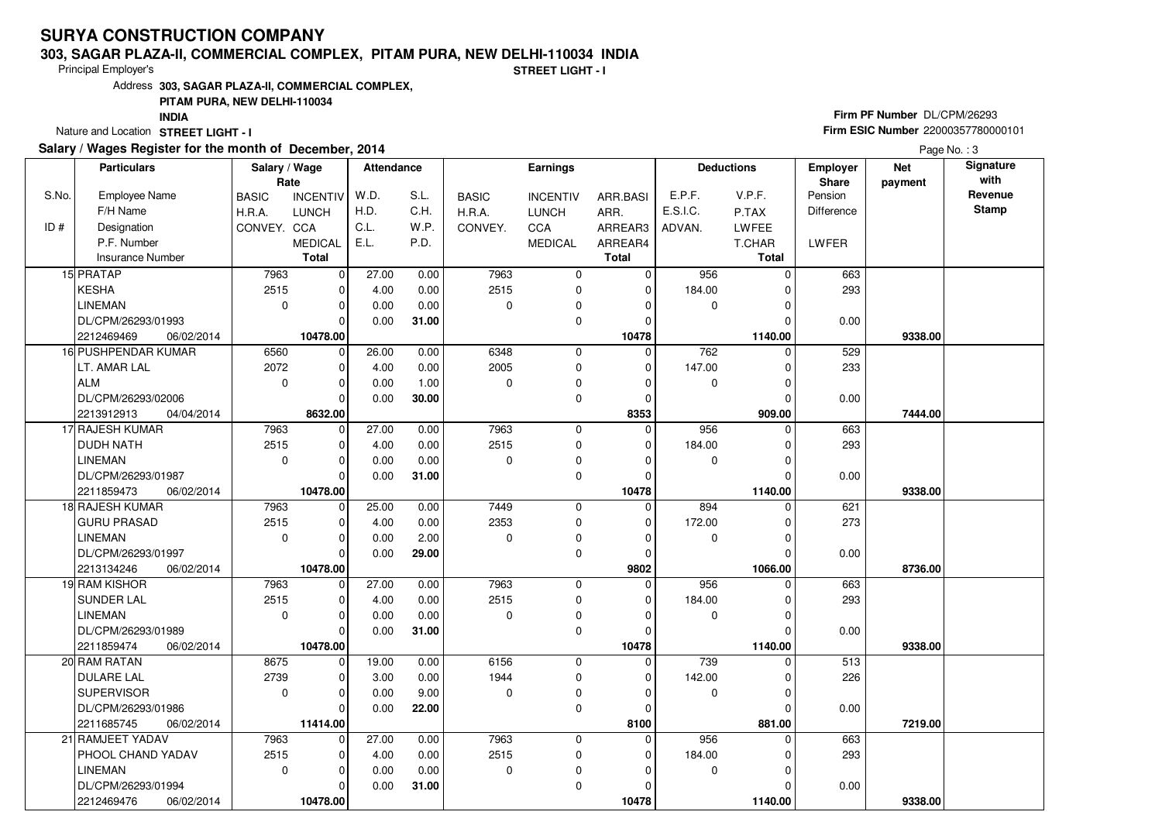#### **303, SAGAR PLAZA-II, COMMERCIAL COMPLEX, PITAM PURA, NEW DELHI-110034 INDIA**

Principal Employer's

**STREET LIGHT - I**

Address**303, SAGAR PLAZA-II, COMMERCIAL COMPLEX,**

## **PITAM PURA, NEW DELHI-110034**

**INDIA**

Nature and Location STREET LIGHT - I

## **Salary / Wages Register for the month of December, 2014**

# **Firm PF Number** DL/CPM/26293 **Firm ESIC Number** <sup>22000357780000101</sup>

Page No.: 3

|       | <b>Particulars</b>       | Salary / Wage<br>Rate |                 | <b>Attendance</b> |       |              | <b>Earnings</b> |              | <b>Deductions</b> |              | <b>Employer</b><br><b>Share</b> | <b>Net</b><br>payment | Signature<br>with |
|-------|--------------------------|-----------------------|-----------------|-------------------|-------|--------------|-----------------|--------------|-------------------|--------------|---------------------------------|-----------------------|-------------------|
| S.No. | Employee Name            | <b>BASIC</b>          | <b>INCENTIV</b> | W.D.              | S.L.  | <b>BASIC</b> | <b>INCENTIV</b> | ARR.BASI     | E.P.F.            | V.P.F.       | Pension                         |                       | Revenue           |
|       | F/H Name                 | H.R.A.                | <b>LUNCH</b>    | H.D.              | C.H.  | H.R.A.       | <b>LUNCH</b>    | ARR.         | E.S.I.C.          | P.TAX        | Difference                      |                       | <b>Stamp</b>      |
| ID#   | Designation              | CONVEY. CCA           |                 | C.L.              | W.P.  | CONVEY.      | <b>CCA</b>      | ARREAR3      | ADVAN.            | <b>LWFEE</b> |                                 |                       |                   |
|       | P.F. Number              |                       | <b>MEDICAL</b>  | E.L.              | P.D.  |              | <b>MEDICAL</b>  | ARREAR4      |                   | T.CHAR       | LWFER                           |                       |                   |
|       | <b>Insurance Number</b>  |                       | <b>Total</b>    |                   |       |              |                 | <b>Total</b> |                   | Total        |                                 |                       |                   |
|       | 15 PRATAP                | 7963                  | $\mathbf 0$     | 27.00             | 0.00  | 7963         | 0               | 0            | 956               | $\Omega$     | 663                             |                       |                   |
|       | KESHA                    | 2515                  | $\mathbf 0$     | 4.00              | 0.00  | 2515         | 0               | $\mathbf 0$  | 184.00            | $\Omega$     | 293                             |                       |                   |
|       | <b>LINEMAN</b>           | $\mathbf{0}$          | $\Omega$        | 0.00              | 0.00  | $\Omega$     | 0               | $\Omega$     | 0                 | $\Omega$     |                                 |                       |                   |
|       | DL/CPM/26293/01993       |                       | $\Omega$        | 0.00              | 31.00 |              | 0               | 0            |                   |              | 0.00                            |                       |                   |
|       | 2212469469<br>06/02/2014 |                       | 10478.00        |                   |       |              |                 | 10478        |                   | 1140.00      |                                 | 9338.00               |                   |
|       | 16 PUSHPENDAR KUMAR      | 6560                  | $\mathbf 0$     | 26.00             | 0.00  | 6348         | 0               | $\mathbf 0$  | 762               | $\Omega$     | 529                             |                       |                   |
|       | LT. AMAR LAL             | 2072                  | $\mathbf 0$     | 4.00              | 0.00  | 2005         | $\mathbf 0$     | $\mathbf 0$  | 147.00            | $\Omega$     | 233                             |                       |                   |
|       | ALM                      | $\mathbf 0$           | $\Omega$        | 0.00              | 1.00  | $\Omega$     | 0               | $\Omega$     | 0                 | $\Omega$     |                                 |                       |                   |
|       | DL/CPM/26293/02006       |                       | $\Omega$        | 0.00              | 30.00 |              | $\mathbf 0$     | $\mathbf 0$  |                   | $\Omega$     | 0.00                            |                       |                   |
|       | 2213912913<br>04/04/2014 |                       | 8632.00         |                   |       |              |                 | 8353         |                   | 909.00       |                                 | 7444.00               |                   |
|       | 17 RAJESH KUMAR          | 7963                  | $\mathbf 0$     | 27.00             | 0.00  | 7963         | 0               | $\mathbf 0$  | 956               | $\Omega$     | 663                             |                       |                   |
|       | <b>DUDH NATH</b>         | 2515                  | $\Omega$        | 4.00              | 0.00  | 2515         | $\mathbf 0$     | $\Omega$     | 184.00            | O            | 293                             |                       |                   |
|       | <b>LINEMAN</b>           | $\mathbf 0$           | $\Omega$        | 0.00              | 0.00  | $\Omega$     | 0               | $\Omega$     | 0                 | $\Omega$     |                                 |                       |                   |
|       | DL/CPM/26293/01987       |                       | $\Omega$        | 0.00              | 31.00 |              | $\mathbf 0$     | $\Omega$     |                   |              | 0.00                            |                       |                   |
|       | 2211859473<br>06/02/2014 |                       | 10478.00        |                   |       |              |                 | 10478        |                   | 1140.00      |                                 | 9338.00               |                   |
|       | 18 RAJESH KUMAR          | 7963                  | 0               | 25.00             | 0.00  | 7449         | 0               | $\mathbf 0$  | 894               | $\Omega$     | 621                             |                       |                   |
|       | <b>GURU PRASAD</b>       | 2515                  | $\Omega$        | 4.00              | 0.00  | 2353         | 0               | $\Omega$     | 172.00            | $\Omega$     | 273                             |                       |                   |
|       | LINEMAN                  | $\mathbf 0$           | $\Omega$        | 0.00              | 2.00  | $\Omega$     | 0               | $\Omega$     | 0                 | $\Omega$     |                                 |                       |                   |
|       | DL/CPM/26293/01997       |                       | $\Omega$        | 0.00              | 29.00 |              | $\Omega$        | $\Omega$     |                   |              | 0.00                            |                       |                   |
|       | 2213134246<br>06/02/2014 |                       | 10478.00        |                   |       |              |                 | 9802         |                   | 1066.00      |                                 | 8736.00               |                   |
|       | 19 RAM KISHOR            | 7963                  | $\mathbf 0$     | 27.00             | 0.00  | 7963         | $\mathbf 0$     | 0            | 956               |              | 663                             |                       |                   |
|       | <b>SUNDER LAL</b>        | 2515                  | $\Omega$        | 4.00              | 0.00  | 2515         | 0               | $\Omega$     | 184.00            | $\Omega$     | 293                             |                       |                   |
|       | <b>LINEMAN</b>           | $\mathbf 0$           | $\Omega$        | 0.00              | 0.00  | $\Omega$     | 0               | $\Omega$     | $\mathbf 0$       | $\Omega$     |                                 |                       |                   |
|       | DL/CPM/26293/01989       |                       | $\Omega$        | 0.00              | 31.00 |              | $\mathbf 0$     | O            |                   |              | 0.00                            |                       |                   |
|       | 2211859474<br>06/02/2014 |                       | 10478.00        |                   |       |              |                 | 10478        |                   | 1140.00      |                                 | 9338.00               |                   |
|       | 20 RAM RATAN             | 8675                  | $\mathbf 0$     | 19.00             | 0.00  | 6156         | $\mathbf 0$     | $\Omega$     | 739               | $\Omega$     | 513                             |                       |                   |
|       | <b>DULARE LAL</b>        | 2739                  | $\mathbf 0$     | 3.00              | 0.00  | 1944         | 0               | $\Omega$     | 142.00            | $\Omega$     | 226                             |                       |                   |
|       | <b>SUPERVISOR</b>        | $\Omega$              | $\Omega$        | 0.00              | 9.00  | $\Omega$     | 0               | $\Omega$     | $\mathbf 0$       |              |                                 |                       |                   |
|       | DL/CPM/26293/01986       |                       | $\Omega$        | 0.00              | 22.00 |              | 0               | $\Omega$     |                   | $\Omega$     | 0.00                            |                       |                   |
|       | 2211685745<br>06/02/2014 |                       | 11414.00        |                   |       |              |                 | 8100         |                   | 881.00       |                                 | 7219.00               |                   |
|       | 21 RAMJEET YADAV         | 7963                  | $\Omega$        | 27.00             | 0.00  | 7963         | $\mathbf 0$     | $\Omega$     | 956               | $\Omega$     | 663                             |                       |                   |
|       | PHOOL CHAND YADAV        | 2515                  | $\mathbf 0$     | 4.00              | 0.00  | 2515         | 0               | 0            | 184.00            |              | 293                             |                       |                   |
|       | <b>LINEMAN</b>           | $\mathbf{0}$          | $\Omega$        | 0.00              | 0.00  | 0            | 0               | $\Omega$     | 0                 | $\Omega$     |                                 |                       |                   |
|       | DL/CPM/26293/01994       |                       | $\Omega$        | 0.00              | 31.00 |              | 0               | $\Omega$     |                   |              | 0.00                            |                       |                   |
|       | 2212469476<br>06/02/2014 |                       | 10478.00        |                   |       |              |                 | 10478        |                   | 1140.00      |                                 | 9338.00               |                   |